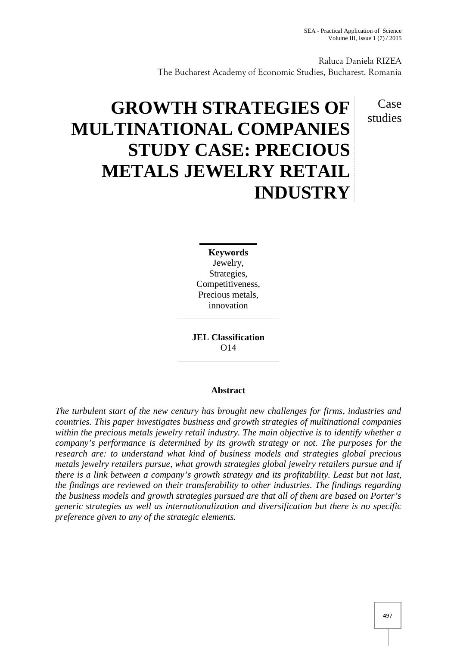Case studies

Raluca Daniela RIZEA The Bucharest Academy of Economic Studies, Bucharest, Romania

# **GROWTH STRATEGIES OF MULTINATIONAL COMPANIES STUDY CASE: PRECIOUS METALS JEWELRY RETAIL INDUSTRY**

**Keywords** Jewelry, Strategies, Competitiveness, Precious metals, innovation

**JEL Classification** O14

# **Abstract**

*The turbulent start of the new century has brought new challenges for firms, industries and countries. This paper investigates business and growth strategies of multinational companies within the precious metals jewelry retail industry. The main objective is to identify whether a company's performance is determined by its growth strategy or not. The purposes for the research are: to understand what kind of business models and strategies global precious metals jewelry retailers pursue, what growth strategies global jewelry retailers pursue and if there is a link between a company's growth strategy and its profitability. Least but not last, the findings are reviewed on their transferability to other industries. The findings regarding the business models and growth strategies pursued are that all of them are based on Porter's generic strategies as well as internationalization and diversification but there is no specific preference given to any of the strategic elements.*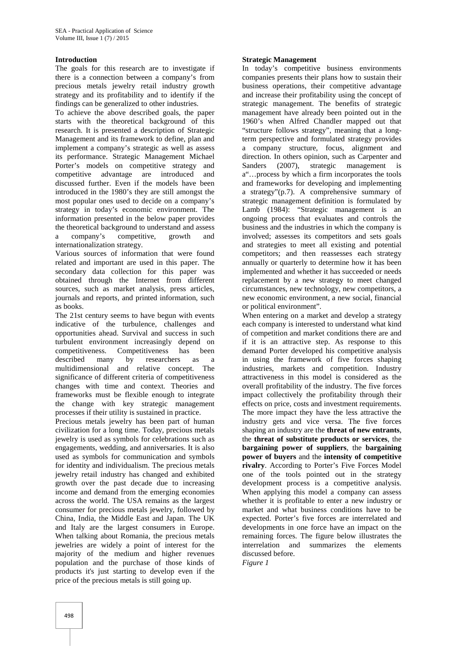## **Introduction**

The goals for this research are to investigate if there is a connection between a company's from precious metals jewelry retail industry growth strategy and its profitability and to identify if the findings can be generalized to other industries.

To achieve the above described goals, the paper starts with the theoretical background of this research. It is presented a description of Strategic Management and its framework to define, plan and implement a company's strategic as well as assess its performance. Strategic Management Michael Porter's models on competitive strategy and Sanders competitive advantage are introduced and discussed further. Even if the models have been introduced in the 1980's they are still amongst the most popular ones used to decide on a company's strategy in today's economic environment. The information presented in the below paper provides the theoretical background to understand and assess a company's competitive, growth and internationalization strategy.

Various sources of information that were found related and important are used in this paper. The secondary data collection for this paper was obtained through the Internet from different sources, such as market analysis, press articles, journals and reports, and printed information, such as books.

The 21st century seems to have begun with events indicative of the turbulence, challenges and opportunities ahead. Survival and success in such turbulent environment increasingly depend on competitiveness. Competitiveness has been described many by researchers as a multidimensional and relative concept. The significance of different criteria of competitiveness changes with time and context. Theories and frameworks must be flexible enough to integrate the change with key strategic management processes if their utility is sustained in practice.

Precious metals jewelry has been part of human civilization for a long time. Today, precious metals jewelry is used as symbols for celebrations such as engagements, wedding, and anniversaries. It is also used as symbols for communication and symbols for identity and individualism. The precious metals jewelry retail industry has changed and exhibited growth over the past decade due to increasing income and demand from the emerging economies across the world. The USA remains as the largest consumer for precious metals jewelry, followed by China, India, the Middle East and Japan. The UK and Italy are the largest consumers in Europe. When talking about Romania, the precious metals jewelries are widely a point of interest for the majority of the medium and higher revenues population and the purchase of those kinds of products it's just starting to develop even if the price of the precious metals is still going up.

### **Strategic Management**

In today's competitive business environments companies presents their plans how to sustain their business operations, their competitive advantage and increase their profitability using the concept of strategic management. The benefits of strategic management have already been pointed out in the 1960's when Alfred Chandler mapped out that "structure follows strategy", meaning that a longterm perspective and formulated strategy provides a company structure, focus, alignment and direction. In others opinion, such as Carpenter and  $(2007)$ , strategic management is a"…process by which a firm incorporates the tools and frameworks for developing and implementing a strategy"(p.7). A comprehensive summary of strategic management definition is formulated by Lamb (1984): "Strategic management is an ongoing process that evaluates and controls the business and the industries in which the company is involved; assesses its competitors and sets goals and strategies to meet all existing and potential competitors; and then reassesses each strategy annually or quarterly to determine how it has been implemented and whether it has succeeded or needs replacement by a new strategy to meet changed circumstances, new technology, new competitors, a new economic environment, a new social, financial or political environment".

When entering on a market and develop a strategy each company is interested to understand what kind of competition and market conditions there are and if it is an attractive step. As response to this demand Porter developed his competitive analysis in using the framework of five forces shaping industries, markets and competition. Industry attractiveness in this model is considered as the overall profitability of the industry. The five forces impact collectively the profitability through their effects on price, costs and investment requirements. The more impact they have the less attractive the industry gets and vice versa. The five forces shaping an industry are the **threat of new entrants**, the **threat of substitute products or services**, the **bargaining power of suppliers**, the **bargaining power of buyers** and the **intensity of competitive rivalry**. According to Porter's Five Forces Model one of the tools pointed out in the strategy development process is a competitive analysis. When applying this model a company can assess whether it is profitable to enter a new industry or market and what business conditions have to be expected. Porter's five forces are interrelated and developments in one force have an impact on the remaining forces. The figure below illustrates the interrelation and summarizes the elements discussed before.

*Figure 1*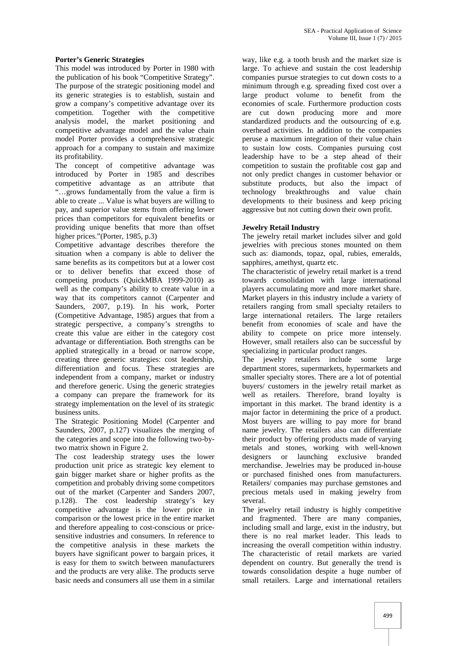## **Porter's Generic Strategies**

This model was introduced by Porter in 1980 with the publication of his book "Competitive Strategy". The purpose of the strategic positioning model and its generic strategies is to establish, sustain and grow a company's competitive advantage over its competition. Together with the competitive analysis model, the market positioning and competitive advantage model and the value chain model Porter provides a comprehensive strategic approach for a company to sustain and maximize its profitability.

The concept of competitive advantage was introduced by Porter in 1985 and describes competitive advantage as an attribute that "…grows fundamentally from the value a firm is able to create ... Value is what buyers are willing to pay, and superior value stems from offering lower prices than competitors for equivalent benefits or providing unique benefits that more than offset higher prices."(Porter, 1985, p.3)

Competitive advantage describes therefore the situation when a company is able to deliver the same benefits as its competitors but at a lower cost or to deliver benefits that exceed those of competing products (QuickMBA 1999-2010) as well as the company's ability to create value in a way that its competitors cannot (Carpenter and Saunders, 2007, p.19). In his work, Porter (Competitive Advantage, 1985) argues that from a strategic perspective, a company's strengths to create this value are either in the category cost advantage or differentiation. Both strengths can be applied strategically in a broad or narrow scope, creating three generic strategies: cost leadership, differentiation and focus. These strategies are independent from a company, market or industry and therefore generic. Using the generic strategies a company can prepare the framework for its strategy implementation on the level of its strategic business units.

The Strategic Positioning Model (Carpenter and Saunders, 2007, p.127) visualizes the merging of the categories and scope into the following two-bytwo matrix shown in Figure 2.

The cost leadership strategy uses the lower production unit price as strategic key element to gain bigger market share or higher profits as the competition and probably driving some competitors out of the market (Carpenter and Sanders 2007, p.128). The cost leadership strategy's key competitive advantage is the lower price in comparison or the lowest price in the entire market and therefore appealing to cost-conscious or price sensitive industries and consumers. In reference to the competitive analysis in these markets the buyers have significant power to bargain prices, it is easy for them to switch between manufacturers and the products are very alike. The products serve basic needs and consumers all use them in a similar

way, like e.g. a tooth brush and the market size is large. To achieve and sustain the cost leadership companies pursue strategies to cut down costs to a minimum through e.g. spreading fixed cost over a large product volume to benefit from the economies of scale. Furthermore production costs are cut down producing more and more standardized products and the outsourcing of e.g. overhead activities. In addition to the companies peruse a maximum integration of their value chain to sustain low costs. Companies pursuing cost leadership have to be a step ahead of their competition to sustain the profitable cost gap and not only predict changes in customer behavior or substitute products, but also the impact of technology breakthroughs and value chain developments to their business and keep pricing aggressive but not cutting down their own profit.

## **Jewelry Retail Industry**

The jewelry retail market includes silver and gold jewelries with precious stones mounted on them such as: diamonds, topaz, opal, rubies, emeralds, sapphires, amethyst, quartz etc.

The characteristic of jewelry retail market is a trend towards consolidation with large international players accumulating more and more market share. Market players in this industry include a variety of retailers ranging from small specialty retailers to large international retailers. The large retailers benefit from economies of scale and have the ability to compete on price more intensely. However, small retailers also can be successful by specializing in particular product ranges.

The jewelry retailers include some large department stores, supermarkets, hypermarkets and smaller specialty stores. There are a lot of potential buyers/ customers in the jewelry retail market as well as retailers. Therefore, brand loyalty is important in this market. The brand identity is a major factor in determining the price of a product. Most buyers are willing to pay more for brand name jewelry. The retailers also can differentiate their product by offering products made of varying metals and stones, working with well-known designers or launching exclusive branded merchandise. Jewelries may be produced in-house or purchased finished ones from manufacturers. Retailers/ companies may purchase gemstones and precious metals used in making jewelry from several.

The jewelry retail industry is highly competitive and fragmented. There are many companies, including small and large, exist in the industry, but there is no real market leader. This leads to increasing the overall competition within industry. The characteristic of retail markets are varied dependent on country. But generally the trend is towards consolidation despite a huge number of small retailers. Large and international retailers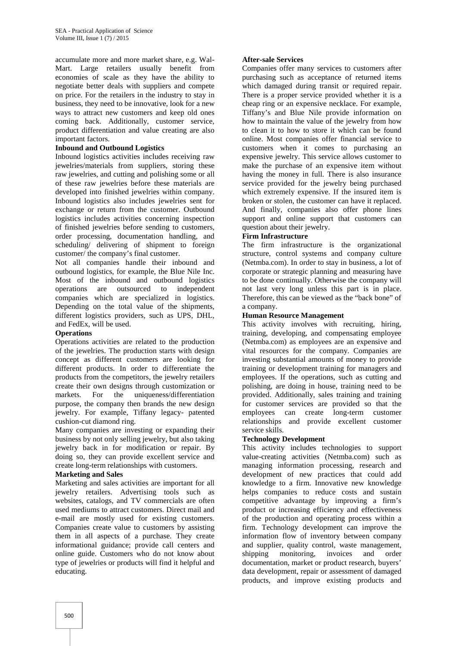accumulate more and more market share, e.g. Wal- Mart. Large retailers usually benefit from economies of scale as they have the ability to negotiate better deals with suppliers and compete on price. For the retailers in the industry to stay in business, they need to be innovative, look for a new ways to attract new customers and keep old ones coming back. Additionally, customer service, product differentiation and value creating are also important factors.

## **Inbound and Outbound Logistics**

Inbound logistics activities includes receiving raw jewelries/materials from suppliers, storing these raw jewelries, and cutting and polishing some or all of these raw jewelries before these materials are developed into finished jewelries within company. Inbound logistics also includes jewelries sent for exchange or return from the customer. Outbound logistics includes activities concerning inspection of finished jewelries before sending to customers, order processing, documentation handling, and scheduling/ delivering of shipment to foreign customer/ the company's final customer.

Not all companies handle their inbound and outbound logistics, for example, the Blue Nile Inc. Most of the inbound and outbound logistics operations are outsourced to independent companies which are specialized in logistics. Depending on the total value of the shipments, different logistics providers, such as UPS, DHL, and FedEx, will be used.

# **Operations**

Operations activities are related to the production of the jewelries. The production starts with design concept as different customers are looking for different products. In order to differentiate the products from the competitors, the jewelry retailers create their own designs through customization or markets. For the uniqueness/differentiation purpose, the company then brands the new design jewelry. For example, Tiffany legacy- patented cushion-cut diamond ring.

Many companies are investing or expanding their business by not only selling jewelry, but also taking jewelry back in for modification or repair. By doing so, they can provide excellent service and create long-term relationships with customers.

## **Marketing and Sales**

Marketing and sales activities are important for all jewelry retailers. Advertising tools such as websites, catalogs, and TV commercials are often used mediums to attract customers. Direct mail and e-mail are mostly used for existing customers. Companies create value to customers by assisting them in all aspects of a purchase. They create informational guidance; provide call centers and online guide. Customers who do not know about type of jewelries or products will find it helpful and educating.

## **After-sale Services**

Companies offer many services to customers after purchasing such as acceptance of returned items which damaged during transit or required repair. There is a proper service provided whether it is a cheap ring or an expensive necklace. For example, Tiffany's and Blue Nile provide information on how to maintain the value of the jewelry from how to clean it to how to store it which can be found online. Most companies offer financial service to customers when it comes to purchasing an expensive jewelry. This service allows customer to make the purchase of an expensive item without having the money in full. There is also insurance service provided for the jewelry being purchased which extremely expensive. If the insured item is broken or stolen, the customer can have it replaced. And finally, companies also offer phone lines support and online support that customers can question about their jewelry.

# **Firm Infrastructure**

The firm infrastructure is the organizational structure, control systems and company culture (Netmba.com). In order to stay in business, a lot of corporate or strategic planning and measuring have to be done continually. Otherwise the company will not last very long unless this part is in place. Therefore, this can be viewed as the "back bone" of a company.

## **Human Resource Management**

This activity involves with recruiting, hiring, training, developing, and compensating employee (Netmba.com) as employees are an expensive and vital resources for the company. Companies are investing substantial amounts of money to provide training or development training for managers and employees. If the operations, such as cutting and polishing, are doing in house, training need to be provided. Additionally, sales training and training for customer services are provided so that the employees can create long-term customer relationships and provide excellent customer service skills.

## **Technology Development**

This activity includes technologies to support value-creating activities (Netmba.com) such as managing information processing, research and development of new practices that could add knowledge to a firm. Innovative new knowledge helps companies to reduce costs and sustain competitive advantage by improving a firm's product or increasing efficiency and effectiveness of the production and operating process within a firm. Technology development can improve the information flow of inventory between company and supplier, quality control, waste management, shipping monitoring, invoices and order documentation, market or product research, buyers' data development, repair or assessment of damaged products, and improve existing products and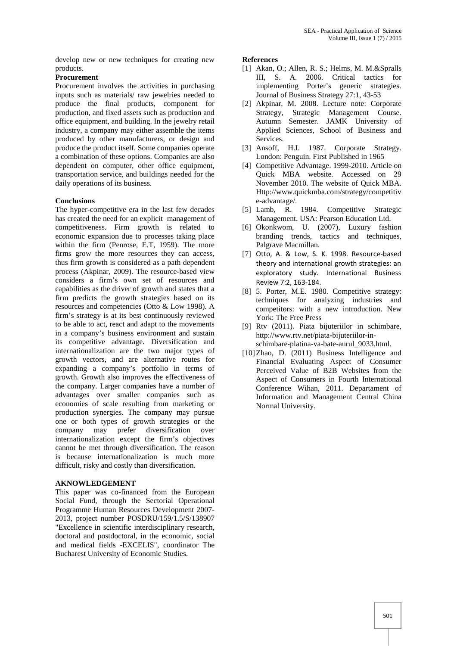develop new or new techniques for creating new products.

### **Procurement**

Procurement involves the activities in purchasing inputs such as materials/ raw jewelries needed to produce the final products, component for production, and fixed assets such as production and office equipment, and building. In the jewelry retail industry, a company may either assemble the items produced by other manufacturers, or design and produce the product itself. Some companies operate a combination of these options. Companies are also dependent on computer, other office equipment, transportation service, and buildings needed for the daily operations of its business.

#### **Conclusions**

The hyper-competitive era in the last few decades has created the need for an explicit management of competitiveness. Firm growth is related to economic expansion due to processes taking place within the firm (Penrose, E.T, 1959). The more firms grow the more resources they can access, thus firm growth is considered as a path dependent process (Akpinar, 2009). The resource-based view considers a firm's own set of resources and capabilities as the driver of growth and states that a firm predicts the growth strategies based on its resources and competencies (Otto & Low 1998). A firm's strategy is at its best continuously reviewed to be able to act, react and adapt to the movements in a company's business environment and sustain its competitive advantage. Diversification and internationalization are the two major types of growth vectors, and are alternative routes for expanding a company's portfolio in terms of growth. Growth also improves the effectiveness of the company. Larger companies have a number of advantages over smaller companies such as economies of scale resulting from marketing or production synergies. The company may pursue one or both types of growth strategies or the company may prefer diversification over internationalization except the firm's objectives cannot be met through diversification. The reason is because internationalization is much more difficult, risky and costly than diversification.

## **AKNOWLEDGEMENT**

This paper was co-financed from the European Social Fund, through the Sectorial Operational Programme Human Resources Development 2007- 2013, project number POSDRU/159/1.5/S/138907 "Excellence in scientific interdisciplinary research, doctoral and postdoctoral, in the economic, social and medical fields -EXCELIS", coordinator The Bucharest University of Economic Studies.

#### **References**

- [1] Akan, O.; Allen, R. S.; Helms, M. M.&Spralls III, S. A. 2006. Critical tactics for implementing Porter's generic strategies. Journal of Business Strategy 27:1, 43-53
- [2] Akpinar, M. 2008. Lecture note: Corporate Strategy, Strategic Management Course. Autumn Semester. JAMK University of Applied Sciences, School of Business and Services.
- [3] Ansoff, H.I. 1987. Corporate Strategy. London: Penguin. First Published in 1965
- [4] Competitive Advantage. 1999-2010. Article on Quick MBA website. Accessed on 29 November 2010. The website of Quick MBA. Http://www.quickmba.com/strategy/competitiv e-advantage/.
- [5] Lamb, R. 1984. Competitive Strategic Management. USA: Pearson Education Ltd.
- [6] Okonkwom, U. (2007), Luxury fashion branding trends, tactics and techniques, Palgrave Macmillan.
- [7] Otto, A. & Low, S. K. 1998. Resource-based theory and international growth strategies: an exploratory study. International Business Review 7:2, 163-184.
- [8] 5. Porter, M.E. 1980. Competitive strategy: techniques for analyzing industries and competitors: with a new introduction. New York: The Free Press
- [9] Rtv (2011). Piata bijuteriilor in schimbare, http://www.rtv.net/piata-bijuteriilor-in schimbare-platina-va-bate-aurul\_9033.html.
- [10]Zhao, D. (2011) Business Intelligence and Financial Evaluating Aspect of Consumer Perceived Value of B2B Websites from the Aspect of Consumers in Fourth International Conference Wihan, 2011. Departament of Information and Management Central China Normal University.